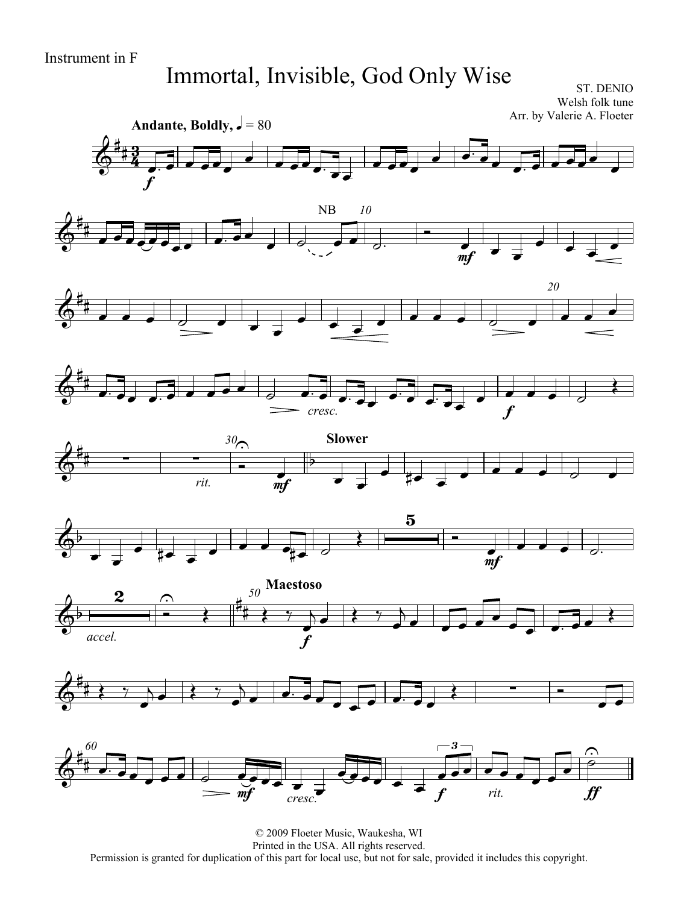### Immortal, Invisible, God Only Wise

ST. DENIO Welsh folk tune Arr. by Valerie A. Floeter



© 2009 Floeter Music, Waukesha, WI Printed in the USA. All rights reserved. Permission is granted for duplication of this part for local use, but not for sale, provided it includes this copyright.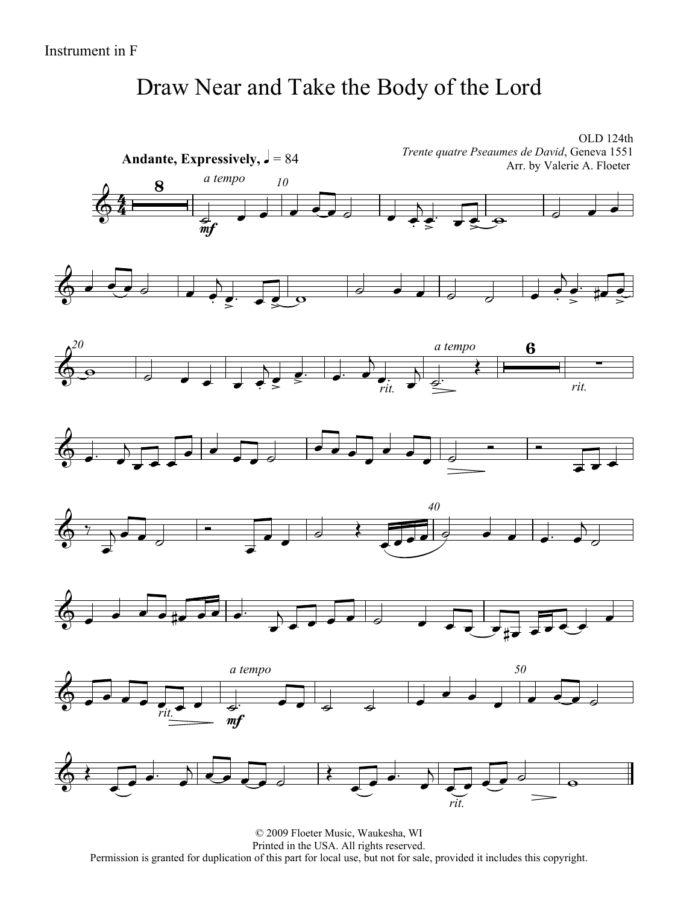## Draw Near and Take the Body of the Lord

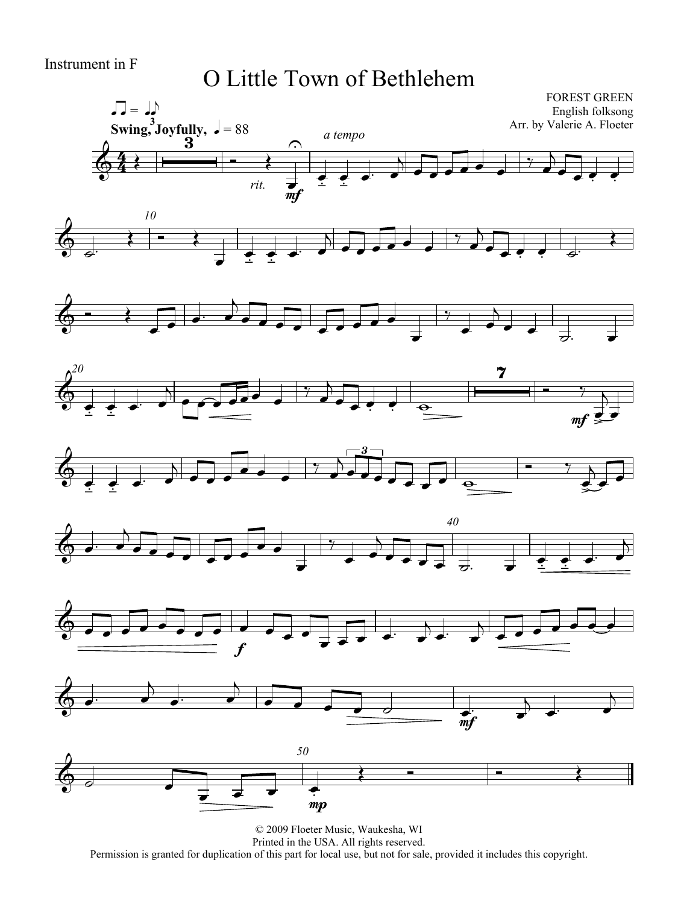### O Little Town of Bethlehem

















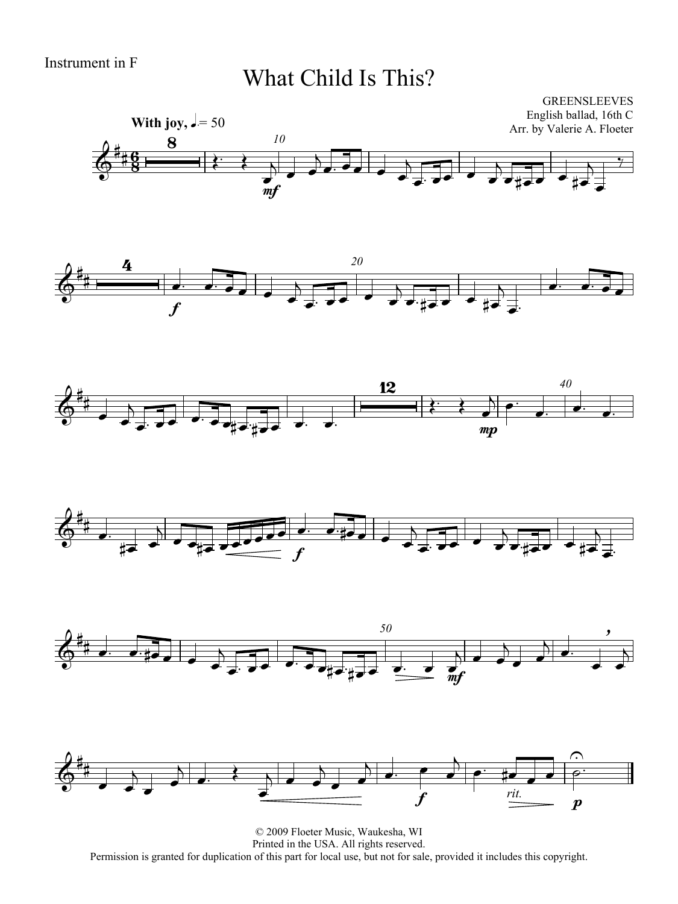#### What Child Is This?













© 2009 Floeter Music, Waukesha, WI Printed in the USA. All rights reserved. Permission is granted for duplication of this part for local use, but not for sale, provided it includes this copyright.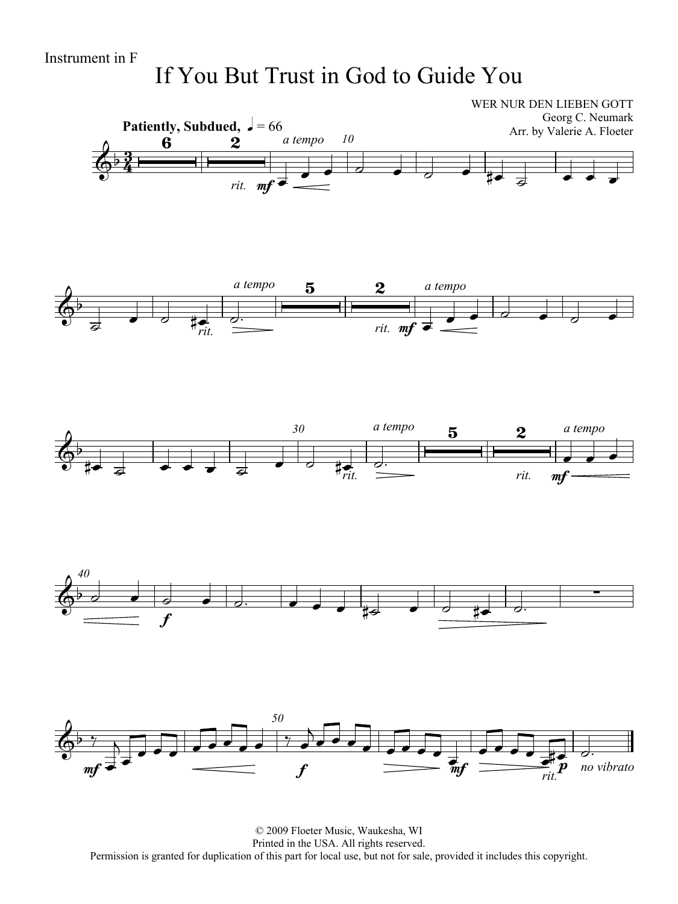### If You But Trust in God to Guide You



© 2009 Floeter Music, Waukesha, WI Printed in the USA. All rights reserved. Permission is granted for duplication of this part for local use, but not for sale, provided it includes this copyright.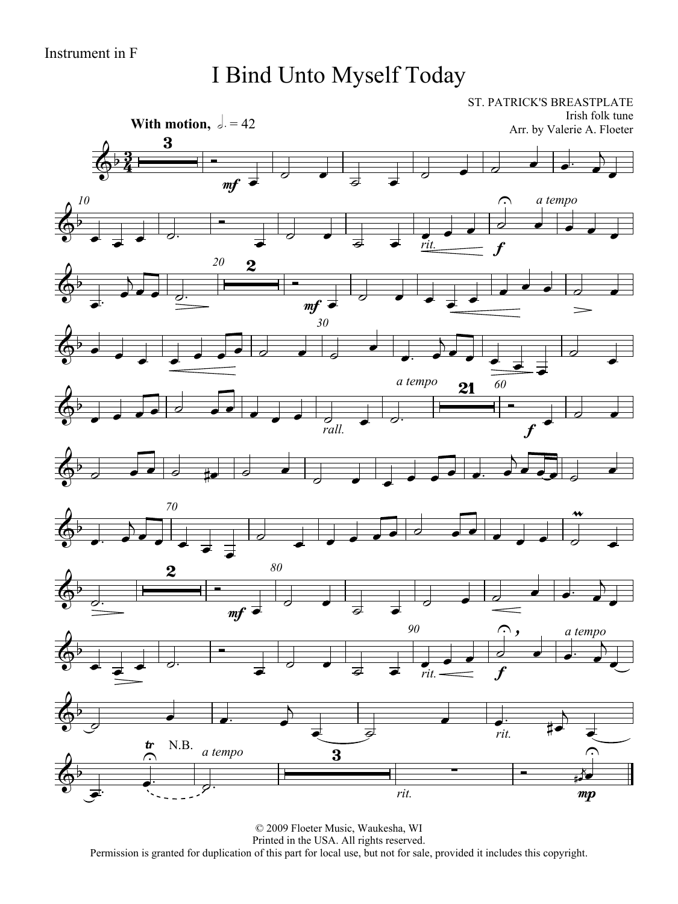# I Bind Unto Myself Today

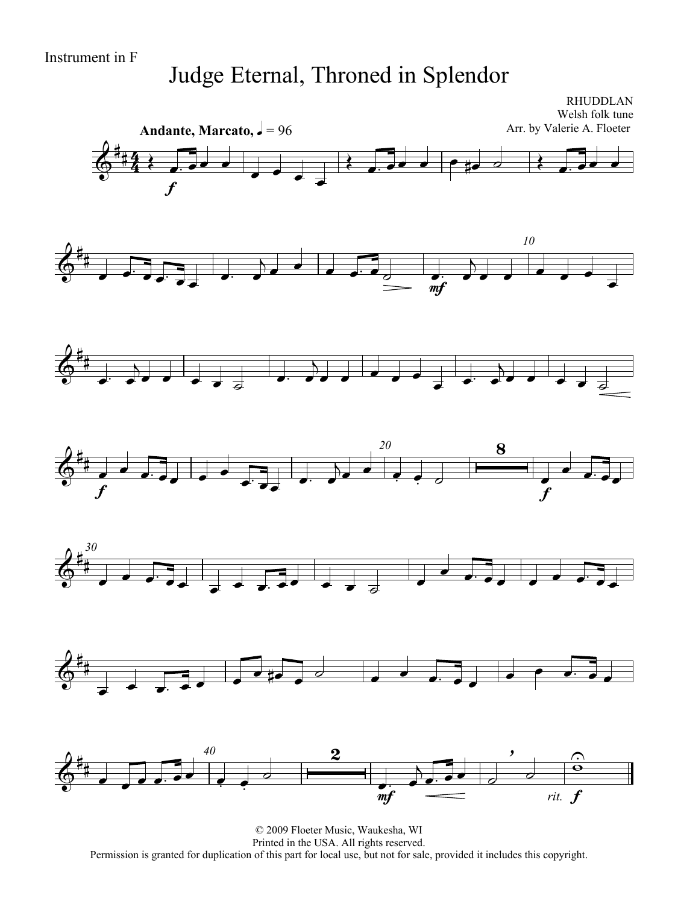## Judge Eternal, Throned in Splendor

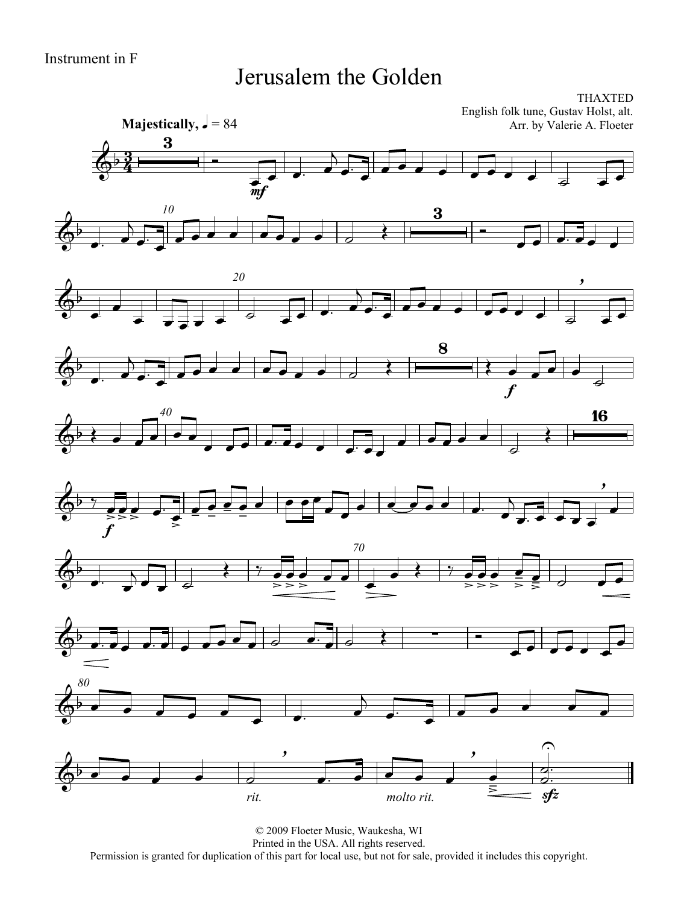#### Jerusalem the Golden

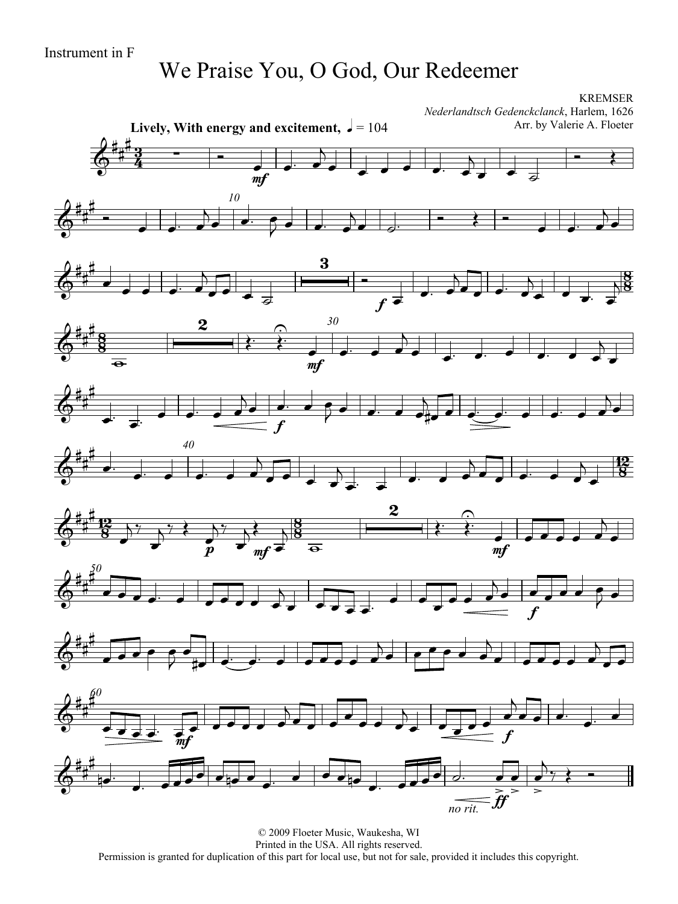### We Praise You, O God, Our Redeemer